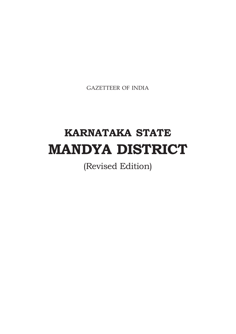GAZETTEER OF INDIA

# **KARNATAKA STATE MANDYA DISTRICT**

(Revised Edition)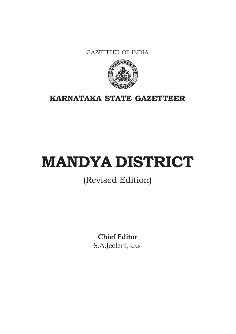GAZETTEER OF INDIA



**KARNATAKA STATE GAZETTEER**

# **MANDYA DISTRICT**

# (Revised Edition)

**Chief Editor** S.A.Jeelani, K.A.S.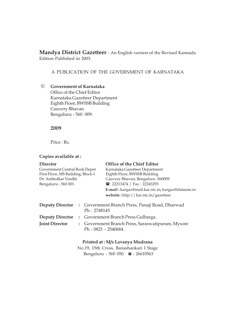**Mandya District Gazetteer** - An English version of the Revised Kannada Edition Published in 2003.

A PUBLICATION OF THE GOVERNMENT OF KARNATAKA

## © **Government of Karnataka** Office of the Chief Editor Karnataka Gazetteer Department Eighth Floor, BWSSB Building Cauvery Bhavan Bengaluru - 560 009.

**2009**

Price : Rs.

## **Copies available at :**

| <b>Director</b><br>Government Central Book Depot<br>First Floor, MS Building, Block-I<br>Dr. Ambedkar Veedhi<br>Bengaluru - 560 001. |                                                                |  | <b>Office of the Chief Editor</b><br>Karnataka Gazetteer Department<br>Eighth Floor, BWSSB Building<br>Cauvery Bhavan, Bengaluru -560009.<br><b>■: 22213474 / Fax: 22243293</b><br>E-mail: kargaz@mail.kar.nic.in; kargaz@dataone.in |  |  |  |
|--------------------------------------------------------------------------------------------------------------------------------------|----------------------------------------------------------------|--|--------------------------------------------------------------------------------------------------------------------------------------------------------------------------------------------------------------------------------------|--|--|--|
|                                                                                                                                      |                                                                |  | website: http:     kar.nic.in/gazetteer                                                                                                                                                                                              |  |  |  |
| <b>Deputy Director</b>                                                                                                               | : Government Branch Press, Panaji Road, Dharwad<br>Ph: 2748145 |  |                                                                                                                                                                                                                                      |  |  |  |
| <b>Deputy Director</b>                                                                                                               |                                                                |  | : Government Branch Press Gulbarga.                                                                                                                                                                                                  |  |  |  |
| <b>Joint Director</b>                                                                                                                |                                                                |  | : Government Branch Press, Saraswatipuram, Mysore<br>Ph: 0821 - 2540684.                                                                                                                                                             |  |  |  |
|                                                                                                                                      |                                                                |  | Printed at: M/s Lavanya Mudrana                                                                                                                                                                                                      |  |  |  |

No.19, 15th Cross, Banashankari I Stage Bengaluru - 560 050. **a**: 26610563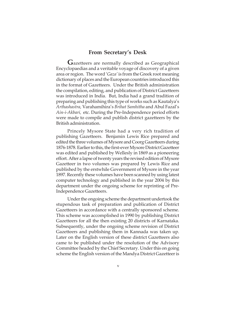#### **From Secretary's Desk**

**G**azetteers are normally described as Geographical Encyclopaedias and a veritable voyage of discovery of a given area or region. The word '*Gaza'* is from the Greek root meaning dictionary of places and the European countries introduced this in the format of Gazetteers. Under the British administration the compilation, editing, and publication of District Gazetteers was introduced in India. But, India had a grand tradition of preparing and publishing this type of works such as Kautalya's *Arthashastra,* Varahamihira's *Brihat Samhitha* and Abul Fazal's *Ain-i-Akbari,* etc. During the Pre-Independence period efforts were made to compile and publish district gazetteers by the British administration.

Princely Mysore State had a very rich tradition of publishing Gazetteers. Benjamin Lewis Rice prepared and edited the three volumes of Mysore and Coorg Gazetteers during 1876-1878. Earlier to this, the first-ever Mysore District Gazetteer was edited and published by Wellesly in 1869 as a pioneering effort. After a lapse of twenty years the revised edition of Mysore Gazetteer in two volumes was prepared by Lewis Rice and published by the erstwhile Government of Mysore in the year 1897. Recently these volumes have been scanned by using latest computer technology and published in the year 2004 by this department under the ongoing scheme for reprinting of Pre-Independence Gazetteers.

Under the ongoing scheme the department undertook the stupendous task of preparation and publication of District Gazetteers in accordance with a centrally sponsored scheme. This scheme was accomplished in 1990 by publishing District Gazetteers for all the then existing 20 districts of Karnataka. Subsequently, under the ongoing scheme revision of District Gazetteers and publishing them in Kannada was taken up. Later on the English version of these district Gazetteers also came to be published under the resolution of the Advisory Committee headed by the Chief Secretary. Under this on going scheme the English version of the Mandya District Gazetteer is

v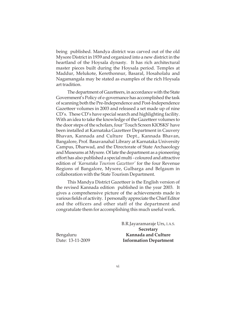being published. Mandya district was carved out of the old Mysore District in 1939 and organized into a new district in the heartland of the Hoysala dynasty. It has rich architectural master pieces built during the Hoysala period. Temples at Maddur, Melukote, Kerethonnur, Basaral, Hosaholalu and Nagamangala may be stated as examples of the rich Hoysala art tradition.

The department of Gazetteers, in accordance with the State Government's Policy of e-governance has accomplished the task of scanning both the Pre-Independence and Post-Independence Gazetteer volumes in 2003 and released a set made up of nine CD's. These CD's have special search and highlighting facility. With an idea to take the knowledge of the Gazetteer volumes to the door steps of the scholars, four 'Touch Screen KIOSKS' have been installed at Karnataka Gazetteer Department in Cauvery Bhavan, Kannada and Culture Dept., Kannada Bhavan, Bangalore, Prof. Basavanahal Library at Karnataka University Campus, Dharwad, and the Directorate of State Archaeology and Museums at Mysore. Of late the department as a pioneering effort has also published a special multi - coloured and attractive edition of *'Karnataka Tourism Gazetteer'* for the four Revenue Regions of Bangalore, Mysore, Gulbarga and Belgaum in collaboration with the State Tourism Department.

This Mandya District Gazetteer is the English version of the revised Kannada edition published in the year 2003. It gives a comprehensive picture of the achievements made in various fields of activity. I personally appreciate the Chief Editor and the officers and other staff of the department and congratulate them for accomplishing this much useful work.

B.R.Jayaramaraje Urs, I.A.S. **Secretary** Bengaluru **Kannada and Culture** Date: 13-11-2009 **Information Department**

vi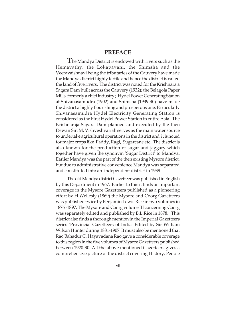## **PREFACE**

**T**he Mandya District is endowed with rivers such as the Hemavathy, the Lokapavani, the Shimsha and the Veeravaishnavi being the tributaries of the Cauvery have made the Mandya district highly fertile and hence the district is called the land of five rivers. The district was noted for the Krishnaraja Sagara Dam built across the Cauvery (1932); the Belagola Paper Mills, formerly a chief industry ; Hydel Power Generating Station at Shivanasamudra (1902) and Shimsha (1939-40) have made the district a highly flourishing and prosperous one. Particularly Shivanasamudra Hydel Electricity Generating Station is considered as the First Hydel Power Station in entire Asia. The Krishnaraja Sagara Dam planned and executed by the then Dewan Sir. M. Vishveshvariah serves as the main water source to undertake agricultural operations in the district and it is noted for major crops like Paddy, Ragi, Sugarcane etc. The district is also known for the production of sugar and jaggary which together have given the synonym 'Sugar District' to Mandya. Earlier Mandya was the part of the then existing Mysore district, but due to administrative convenience Mandya was separated and constituted into an independent district in 1939.

The old Mandya district Gazetteer was published in English by this Department in 1967. Earlier to this it finds an important coverage in the Mysore Gazetteers published as a pioneering effort by H.Wellesly (1869) the Mysore and Coorg Gazetteers was published twice by Benjamin Lewis Rice in two volumes in 1876 -1897. The Mysore and Coorg volume III concerning Coorg was separately edited and published by B.L.Rice in 1878. This district also finds a thorough mention in the Imperial Gazetteers series 'Provincial Gazetteers of India' Edited by Sir William Wilson Hunter during 1881-1907. It must also be mentioned that Rao Bahadur C. Hayavadana Rao gave a considerable coverage to this region in the five volumes of Mysore Gazetteers published between 1920-30. All the above mentioned Gazetteers gives a comprehensive picture of the district covering History, People

vii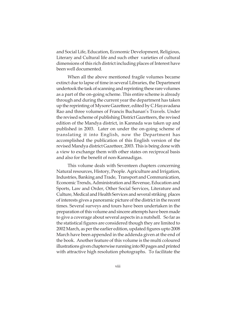and Social Life, Education, Economic Development, Religious, Literary and Cultural life and such other varieties of cultural dimensions of this rich district including places of Interest have been well documented.

When all the above mentioned fragile volumes became extinct due to lapse of time in several Libraries, the Department undertook the task of scanning and reprinting these rare volumes as a part of the on-going scheme. This entire scheme is already through and during the current year the department has taken up the reprinting of Mysore Gazetteer, edited by C.Hayavadana Rao and three volumes of Francis Buchanan's Travels. Under the revised scheme of publishing District Gazetteers, the revised edition of the Mandya district, in Kannada was taken up and published in 2003. Later on under the on-going scheme of translating it into English, now the Department has accomplished the publication of this English version of the revised Mandya district Gazetteer, 2003. This is being done with a view to exchange them with other states on reciprocal basis and also for the benefit of non-Kannadigas.

This volume deals with Seventeen chapters concerning Natural resources, History, People. Agriculture and Irrigation, Industries, Banking and Trade, Transport and Communication, Economic Trends, Administration and Revenue, Education and Sports, Law and Order, Other Social Services, Literature and Culture, Medical and Health Services and several striking places of interests gives a panoramic picture of the district in the recent times. Several surveys and tours have been undertaken in the preparation of this volume and sincere attempts have been made to give a coverage about several aspects in a nutshell. So far as the statistical figures are considered though they are limited to 2002 March, as per the earlier edition, updated figures upto 2008 March have been appended in the addenda given at the end of the book. Another feature of this volume is the multi coloured illustrations given chapterwise running into 80 pages and printed with attractive high resolution photographs. To facilitate the

viii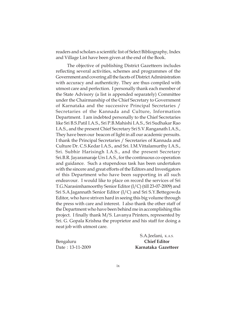readers and scholars a scientific list of Select Bibliography, Index and Village List have been given at the end of the Book.

The objective of publishing District Gazetteers includes reflecting several activities, schemes and programmes of the Government and covering all the facets of District Administration with accuracy and authenticity. They are thus compiled with utmost care and perfection. I personally thank each member of the State Advisory (a list is appended separately) Committee under the Chairmanship of the Chief Secretary to Government of Karnataka and the successive Principal Secretaries / Secretaries of the Kannada and Culture, Information Department. I am indebted personally to the Chief Secretaries like Sri B.S.Patil I.A.S., Sri P.B.Mahishi I.A.S., Sri Sudhakar Rao I.A.S., and the present Chief Secretary Sri S.V.Ranganath I.A.S., They have been our beacon of light in all our academic persuits. I thank the Principal Secretaries / Secretaries of Kannada and Culture Dr. C.S.Kedar I.A.S., and Sri. I.M.Vittalamurthy I.A.S., Sri. Subhir Harisingh I.A.S., and the present Secretary Sri.B.R. Jayaramaraje Urs I.A.S., for the continuous co-operation and guidance. Such a stupendous task has been undertaken with the sincere and great efforts of the Editors and Investigators of this Department who have been supporting in all such endeavour. I would like to place on record the services of Sri T.G.Narasimhamoorthy Senior Editor (I/C) (till 23-07-2009) and Sri S.A.Jagannath Senior Editor (I/C) and Sri S.Y.Bettegowda Editor, who have striven hard in seeing this big volume through the press with care and interest. I also thank the other staff of the Department who have been behind me in accomplishing this project. I finally thank M/S. Lavanya Printers, represented by Sri. G. Gopala Krishna the proprietor and his staff for doing a neat job with utmost care.

Bengaluru **Chief Editor**

S.A.Jeelani, K.A.S. Date : 13-11-2009 **Karnataka Gazetteer**

ix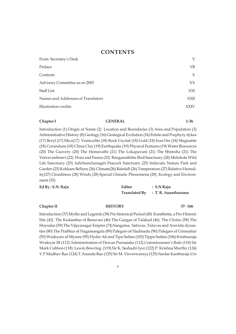### **CONTENTS**

| From Secretary's Desk              | V           |
|------------------------------------|-------------|
| Preface                            | VШ          |
| Contents                           | $\chi$      |
| Advisory Committee as on 2003      | XX          |
| <b>Staff List</b>                  | XXI         |
| Names and Addresses of Translators | <b>XXII</b> |
| Illustration credits               | <b>XXIV</b> |
|                                    |             |

#### **Chapter I GENERAL 1-36**

Introduction (1) Origin of Name (2) Location and Boundaries (3) Area and Population (3) Administrative History (8) Geology (16) Geological Evolution (16) Felsite and Porphyry dykes (17) Beryl (17) Mica(17) Vemiculite (18) Rock Crystal (18) Gold (18) Iron Ore (18) Magnatite (18) Corundum (18) China Clay (19) Earthquake (19) Physical Features (19) Water Resources (20) The Cauvery (20) The Hemavathi (21) The Lokapavani (21) The Shimsha (21) The Veeravaishnavi (22) Flora and Fauna (23) Ranganathittu Bird Sanctuary (24) Melukote Wild Life Sanctuary (25) Adichunchanagiri Peacock Sanctuary (25) Indavalu Nature Park and Garden (25) Kokkare Belluru (26) Climate(26) Rainfall (26) Temperature (27) Relative Humidity(27) Cloudiness (28) Winds (28) Special Climatic Phenomena (28) Ecology and Environment (35)

| Ed By: S.N. Raju | Editor | $\therefore$ S.N Raju             |  |
|------------------|--------|-----------------------------------|--|
|                  |        | Translated By : T. R. Anantharamu |  |

#### **Chapter II HISTORY 37- 166**

Introduction (37) Myths and Legends (38) Pre-historical Period (40) Kuntibetta, a Pre-Historic Site (42) The Kadambas of Banavasi (46) The Gangas of Talakad (46) The Cholas (58) The Hoysalas (59) The Vijayanagar Empire (74) Sangama, Saluvas, Tuluvas and Aravidu dynasties (80) The Prabhus of Nagamangala (89) Palegars of Hadinadu (90) Palegars of Ummattur (93) Wodeyars of Mysore (95) Hyder Ali and Tipu Sultan (103) Tippu Sultan (106) Krishnaraja Wodeyar III (112) Administration of Dewan Purnaiaha (112) Commissioner's Rule (118) Sir Mark Cubbon (118) Lewin Bowring (119) Sir K. Seshadri Iyer (122) P. Krishna Murthy (124) V.P Madhav Rao (124) T.Ananda Rao (125) Sir M. Visveswaraya (125) Sardar Kantharaja Urs

x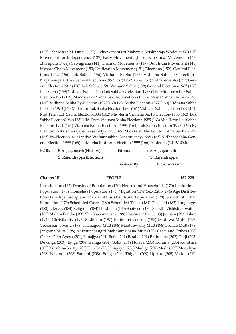(127) Sir Mirza M. Ismail (127) Achievements of Maharaja Krishnaraja Wodeyar IV (128) Movement for Independence (129) Early Movements (133) Irwin Canal Movement (137) Shivapura Dwaja Satyagraha (141) Chain of Movements (147) Quit India Movement (148) Mysore Chalo Movement (150) Unification Movement (151) **Elections** (152) General Elections-1952 (156) Lok Sabha (156) Vidhana Sabha (156) Vidhana Sabha By-election : Nagamangala (157) General Elections-1957 (157) Lok Sabha (157) Vidhana Sabha (157) General Election-1962 (158) Lok Sabha (158) Vidhana Sabha (158) General Elections-1967 (158) Lok Sabha (159) Vidhana Sabha (159) Lok Sabha By-election-1968 (159) Mid-Term Lok Sabha Election-1971 (159) Mandya Lok Sabha By-Election-1972 (159) Vidhana Sabha Election-1972 (160) Vidhana Sabha By-Election -1972(160) Lok Sabha Election-1977 (160) Vidhana Sabha Election-1978 (160)Mid-term Lok Sabha Election-1980 (161) Vidhana Sabha Election 1983(161) Mid Term Lok Sabha Election-1984 (162) Mid-term Vidhana Sabha Election-1985(162) Lok Sabha Election1989 (163) Mid-Term Vidhana Sabha Elections-1989 (163) Mid-Term Lok Sabha Election-1991 (164) Vidhana Sabha Elections -1994 (164) Lok Sabha Election-1996 (165) By Election to Krishnarajapet Assembly-1996 (165) Mid-Term Election to Lokha Sabha -1998 (165) By-Election to Mandya Vidhanasabha Constituency-1998 (165) Vidhanasabha General Election-1999 (165) Loksabha Mid-term Election-1999 (166) Addenda (1049,1050).

| Ed By : S.A. Jagannath (History) | <b>Editors</b>       | $\therefore$ S.A. Jagannath |
|----------------------------------|----------------------|-----------------------------|
| S. Rajendrappa (Election)        |                      | S. Rajendrappa              |
|                                  | <b>Translated By</b> | : Dr. V. Srinivasan         |

#### **Chapter III PEOPLE 167-229**

Introduction (167) Density of Population (170) Houses and Households (170) Institutional Population (170) Houseless Population (173) Migration (174) Sex-Ratio (174) Age Distribution (175) Age Group and Marital Status (176) Rural Population (178) Growth of Urban Population (179) Scheduled Castes (180) Scheduled Tribes (181) Disabled (183) Languages (183) Literacy (184) Religions (184) Hinduism (185) Shaivism (186) Shakthi Vishishtadwaitha (187) Mylara Pantha (188) Shri Vaishnavism (188) Vaishnava Cult (193) Jainism (193) Islam (194) Christianity (196) Sikkhism (197) Religious Centres (197) Madhwa Mutts (197) Veerashaiva Mutts (198) Dhanagoor Mutt (198) Mante Swamy Mutt (198) Bruhan Mutt (198) Jangama Mutt (198) Adichunchangiri Mahasamsthana Mutt (199) Caste and Tribes (200) Castes (200) Agasa (201) Banajiga (201) Beda (201) Bestha (201) Brahmana (202) Darji (203) Devanga (203) Ediga (204) Ganiga (204) Golla (204) Holeya (205) Korama (205) Kumbara (205) Kuruhina Shetty (205) Kuruba (206) Lingayat (206) Madiga (207) Meda (207) Mudaliyar (208) Nayinda (208) Sathani (208) Soliga (209) Thigala (209) Uppara (209) Vadda (210)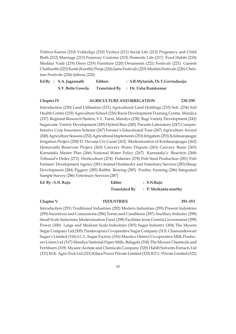Vishwa Karma (210) Vokkaliga (210) Vyshya (211) Social Life (212) Pregnancy and Child Birth (212) Marriage (213) Funerary Customs (215) Domestic Life (217) Food Habits (218) Maddur Vade (219) Dress (219) Furniture (220) Ornaments (221) Festivals (221) Ganesh Chathurthi (223) Konti (Kunthi) Pooja (224) Jaina Festivals (225) Muslim Festivals (226) Christian Festivals (226) Jathras (226)

| Ed By : $S.A.$ Jagannath | <b>Editors</b> | : S.R.Mylariah, Dr.T.Govindaraju  |
|--------------------------|----------------|-----------------------------------|
| S.Y. Bette Gowda         |                | Translated By : Dr. Usha Ramkumar |

#### **Chapter IV AGRICULTURE AND IRRIGATION 230-290**

Introduction (230) Land Utilisation (231) Agricultural Land Holdings (233) Soil (234) Soil Health Centre (235) Agriculture School (236) Rural Development Training Centre, Mandya (237) Regional Research Station, V.C. Farm, Mandya (238) Ragi Variety Development (242) Sugarcane Variety Development (245) Hybrid Rice (245) Parasite Laboratory (247) Comprehensive Crop Insurance Scheme (247) Farmer's Educational Tour (247) Agriculture Award (248) Agriculture Seasons (252) Agricultural Implements (253) Irrigation (253) Krishnarajsagar Irrigation Project (258) D. Devarja Urs Canal (262) Modernization of Krishnarajsagar (262) Hemavathi Reservoir Project (263) Cauvery Water Dispute (263) Cauvery Basin (265) Karnataka Master Plan (266) National Water Policy (267) Karnataka's Reaction (268) Tribunal's Order (272) Horticulture (274) Fisheries (278) Fish Seed Production (281) Fish Farmers' Development Agency (281) Animal Husbandry and Veterinary Services (283) Sheep Development (284) Piggery (285) Rabbit Rearing (285) Poultry Farming (286) Integrated Sample Survey (286) Veterinary Services (287)

| Ed $By: S.N.$ Raju | Editor               | $: S.N.R$ aju         |
|--------------------|----------------------|-----------------------|
|                    | <b>Translated By</b> | : P. Shrikanta murthy |

#### **Chapter V INDUSTRIES 291-353**

Introduction (291) Traditional Industries (292) Modern Industries (293) Present Industries (295) Incentives and Concessions (296) Terms and Conditions (297) Ancillary Industry (298) Small Scale Industries Modernization Fund (298) Facilities from Central Government (299) Power (300) Large and Medium Scale Industries (303) Sugar Industry (304) The Mysore Sugar Company Ltd (305) Pandavapura Co-operative Sugar Company (313) Chamundeswari Sugar's Limited (316) I.C.L. Sugar Factory (316) Mandya District Co-operative Milk Producers Union Ltd (317) Mandya National Paper Mills, Belagola (318) The Mysore Chemicals and Fertilisers (319) Mysore Acetate and Chemicals Company (320) Habib Solvents Extracts Ltd (321) M.K. Agro-Teck Ltd (321) Kilara Power Private Limited (322) B.P.L. Private Limited (322)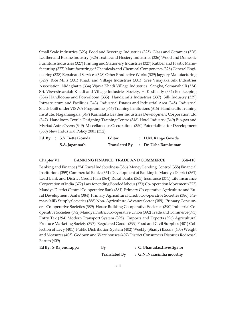Small Scale Industries (323) Food and Beverage Industries (325) Glass and Ceramics (326) Leather and Rexine Industry (326) Textile and Hosiery Industries (326) Wood and Domestic Furniture Industries (327) Printing and Stationery Industries (327) Rubber and Plastic Manufacturing (327) Manufacturing of Chemicals and Chemical Components (328) General Engineering (328) Repair and Services (328) Other Productive Works (329) Jaggery Manufacturing (329) Rice Mills (331) Khadi and Village Industries (331) Sree Vinayaka Silk Industries Association, Nidaghatta (334) Vijaya Khadi Village Industries Sangha, Somanahalli (334) Sri. Visveshvaraiah Khadi and Village Industries Society, H. Kodihally (334) Bee-keeping (334) Handlooms and Powerloom (335) Handicrafts Industries (337) Silk Industry (339) Infrastructure and Facilities (343) Industrial Estates and Industrial Area (345) Industrial Sheds built under VISWA Programme (346) Training Institutions (346) Handicrafts Training Institute, Nagamangala (347) Karnataka Leather Industries Development Corporation Ltd (347) Handloom Textile Designing Training Centre (348) Hotel Industry (349) Bio-gas and Myriad Astra Ovens (349) Miscellaneous Occupations (350) Potentialities for Development (350) New Industrial Policy 2001 (352)

|  | Ed By : S.Y. Bette Gowda | Editor               | : H.M. Range Gowda  |
|--|--------------------------|----------------------|---------------------|
|  | S.A. Jagannath           | <b>Translated By</b> | : Dr. Usha Ramkumar |

#### **Chapter VI BANKING FINANCE, TRADE AND COMMERCE 354-410**

Banking and Finance (354) Rural Indebtedness (356) Money Lending Control (358) Financial Institutions (359) Commercial Banks (361) Development of Banking in Mandya District (361) Lead Bank and District Credit Plan (364) Rural Banks (365) Insurance (371) Life Insurance Corporation of India (372) Law for ending Bonded labour (373) Co- operation Movement (373) Mandya District Central Co-operative Bank (381) Primary Co-operative Agriculture and Rural Development Banks (384) Primary Agricultural Credit Co-operative Societies (386) Primary Milk Supply Societies (388) Non- Agriculture Advance Sector (389) Primary Consumers' Co-operative Societies (389) House Building Co-operative Societies (390) Industrial Cooperative Societies (392) Mandya District Co-operative Union (392) Trade and Commerce(393) Entry Tax (394) Modern Transport System (395) Imports and Exports (396) Agricultural Produce Marketing Society (397) Regulated Goods (399) Food and Civil Supplies (401) Collection of Levy (401) Public Distribution System (402) Weekly (Shady) Bazars (403) Weight and Measures (405) Godown and Ware houses (407) District Consumers Disputes Redressal Forum (409)

| Ed By : S.Rajendrappa | By                   | : G. Bhanudas, Investigator |
|-----------------------|----------------------|-----------------------------|
|                       | <b>Translated By</b> | : G.N. Narasimha moorthy    |

xiii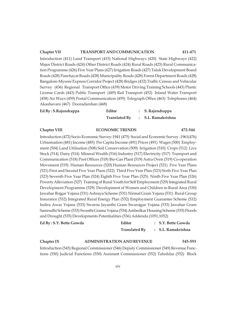#### **Chapter VII TRANSPORT AND COMMUNICATION 411-471**

Introduction (411) Land Transport (415) National Highways (420) State Highways (422) Major District Roads (424) Other District Roads (424) Rural Roads (425) Rural Communication Programme (426) Five Year Plans (427) Irrigation Roads (427) Taluk Development Board Roads (428) Panchayat Roads (428) Municipality Roads (428) Forest Department Roads (428) Bangalore-Mysore Express Corridor Project (428) Bridges (432) Traffic Census and Vehicular Survey (436) Regional Transport Office (439) Motor Driving Training Schools (443) Plastic License Cards (443) Public Transport (449) Rail Transport (452) Inland Water Transport (458) Air Ways (459) Postal Communication (459) Telegraph Office (463) Telephones (464) Akashavani (467) Dooradarshan (468)

| Ed By: S.Rajendrappa | Editor               |  | : S. Rajendrappa   |  |
|----------------------|----------------------|--|--------------------|--|
|                      | <b>Translated By</b> |  | : S.L. Ramakrishna |  |

#### **Chapter VIII ECONOMIC TRENDS 472-544**

Introduction (472) Socio-Economic Survey-1941 (475) Social and Economic Survey -1961(476) Urbanisation (481) Income (485) Per Capita Income (491) Prices (491) Wages (500) Employment (504) Land Utilisation (508) Soil Conservation (509) Irrigation (510) Crops (512) Live Stock (514) Dairy (514) Mineral Wealth (516) Industry (517) Electricity (517) Transport and Communication (518) Post Offices (518) Bio-Gas Plant (519) Astra Oven (519) Co-operation Movement (519) Human Resources (520) Human Resources Project (521) Five Year Plans (521) First and Second Five Year Plans (522) Third Five Year Plan (523) Sixth Five Year Plan (523) Seventh Five Year Plan (524) Eighth Five Year Plan (525) Ninth Five Year Plan (526) Poverty Alleviation (527) Training of Rural Youth for Self Employment (529) Integrated Rural Development Programme (529) Development of Women and Children in Rural Area (530) Jawahar Rojgar Yojana (531) Ashraya Scheme (531) Nirmal Gram Yojana (531) Rural Group Insurance (532) Integrated Rural Energy Plan (532) Employment Guarantee Scheme (532) Indira Awas Yojana (533) Swarna Jayanthi Gram Swarojgar Yojana (533) Jawahar Gram Samrudhi Scheme (533) Swasthi Grama Yojana (534) Ambedkar Housing Scheme (535) Floods and Drought (535) Developments Potentialities (536) Addenda (1051,1052)

| Ed By: S.Y. Bette Gowda | Editor                            | : S.Y. Bette Gowda               |
|-------------------------|-----------------------------------|----------------------------------|
|                         |                                   | Translated By : S.L. Ramakrishna |
| Chapter IX              | <b>ADMINISTRATION AND REVENUE</b> | 545-593                          |

Introduction (545) Regional Commissioner (546) Deputy Commissioner (549) Revenue Functions (550) Judicial Functions (550) Assistant Commissioner (552) Tahsildar (552) Block

xiv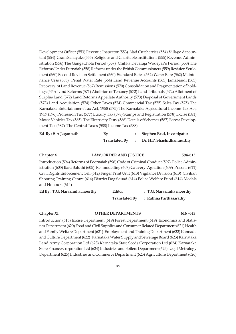Development Officer (553) Revenue Inspector (553) Nad Cutcherries (554) Village Accountant (554) Gram Sahayaks (555) Religious and Charitable Institutions (555) Revenue Administration (556) The GangaChola Period (557) Chikka Devaraja Wodeyar's Period (558) The Reforms Under Purnaiah (558) Reforms under the British Commissioners (559) Revision Settlement (560) Second Revision Settlement (560) Standard Rates (562) Water Rate (562) Maintenance Cess (563) Penal Water Rate (564) Land Revenue Accounts (565) Jamabandi (565) Recovery of Land Revenue (567) Remissions (570) Consolidation and Fragmentation of holdings (570) Land Reforms (571) Abolition of Tenancy (572) Land Tribunals (572) Allotment of Surplus Land (572) Land Reforms Appellate Authority (573) Disposal of Government Lands (573) Land Acquisition (574) Other Taxes (574) Commercial Tax (575) Sales Tax (575) The Karnataka Entertainment Tax Act, 1958 (575) The Karnataka Agricultural Income Tax Act, 1957 (576) Profession Tax (577) Luxury Tax (578) Stamps and Registration (578) Excise (581) Motor Vehicles Tax (585) The Electricity Duty (586) Details of Schemes (587) Forest Development Tax (587) The Central Taxes (588) Income Tax (588)

| Ed $By: S.A$ Jagannath | By                   | Stephen Paul, Investigator |
|------------------------|----------------------|----------------------------|
|                        | <b>Translated By</b> | Dr. H.P. Shashidhar murthy |

| Chapter $X$                                                                                   | <b>LAW, ORDER AND JUSTICE</b> |                                | 594-615 |
|-----------------------------------------------------------------------------------------------|-------------------------------|--------------------------------|---------|
| Introduction (594) Reforms of Poornaiah (596) Code of Criminal Conduct (597) Police Admin-    |                               |                                |         |
| istration (605) Bara Baluthi (605) Re-modelling (607) Cauvery Agitation (609) Prisons (611)   |                               |                                |         |
| Civil Rights Enforcement Cell (612) Finger Print Unit (613) Vigilance Division (613) Civilian |                               |                                |         |
| Shooting Training Centre (614) District Dog Squad (614) Police Welfare Fund (614) Medals      |                               |                                |         |
| and Honours (614)                                                                             |                               |                                |         |
| $FdRv \cdot TC$ Naracimha moorthy                                                             | Editor                        | $\cdot$ T C. Naracimha moorthy |         |

| Ed By : T.G. Narasimha moorthy | Editor               | : T.G. Narasimha moorthy |
|--------------------------------|----------------------|--------------------------|
|                                | <b>Translated By</b> | : Rathna Parthasarathy   |

**Chapter XI OTHER DEPARTMENTS 616 -643**

Introduction (616) Excise Department (619) Forest Department (619) Economics and Statistics Department (620) Food and Civil Supplies and Consumer Related Department (621) Health and Family Welfare Department (621) Employment and Training Department (622) Kannada and Culture Department (622) Karnataka Water Supply and Sewerage Board (623) Karnataka Land Army Corporation Ltd (623) Karnataka State Seeds Corporation Ltd (624) Karnataka State Finance Corporation Ltd (624) Industries and Boilers Department (625) Legal Metrology Department (625) Industries and Commerce Department (625) Agriculture Department (626)

xv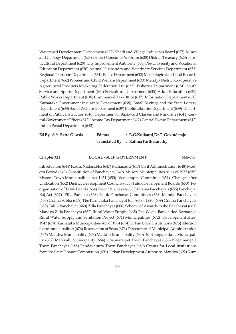Watershed Development Department (627) Khadi and Village Industries Board (627) Mines and Geology Department (628) District Consumer's Forum (628) District Treasury (628) Horticultural Department (629) City Improvement Authority (630) Pre-University and Vocational Education Department (630) Animal Husbandry and Veterinary Services Department (631) Regional Transport Department (631) Police Department (632) Meteralogical and land Records Department (632) Women and Child Welfare Department (633) Mandya District Co-operative Agricultural Products Marketing Federation Ltd (633) Fisheries Department (634) Youth Service and Sports Department (634) Sericulture Department (635) Adult Education (635) Public Works Department (636) Commercial Tax-Office (637) Information Department (638) Karnataka Government Insurance Department (638) Small Savings and the State Lottery Department (638) Social Welfare Department (639) Public Libraries Department (639) Department of Public Instruction (640) Department of Backward Classes and Minorities (641) Central Government Offices (642) Income Tax Department (642) Central Excise Department (642) Indian Postal Department (642)

| Ed By: S.Y. Bette Gowda | <b>Editors</b> | : R.G.Kulkarni, Dr.T. Govindaraju    |
|-------------------------|----------------|--------------------------------------|
|                         |                | Translated By : Rathna Parthasarathy |

#### **Chapter XII LOCAL - SELF GOVERNMENT 644-698**

Introduction (644) Nadu, Nadasabha (647) Mahanadu (647) Civil Administration (648) Modern Period (649) Constitution of Panchayats (649) Mysore Municipalities rules of 1933 (650) Mysore Town Municipalities Act 1951 (650) Venkatappa Committee (651) Changes after Unification (652) District Development Councils (653) Taluk Development Boards (653) Reorganisation of Taluk Boards (654) Town Panchayats (655) Grama Panchayats (655) Panchayat Raj Act (657) Zilla Parishat (658) Taluk Panchayat Committees (658) Mandal Panchayats (658) Grama Sabha (659) The Karnataka Panchayat Raj Act of 1993 (659) Grama Panchayats (659) Taluk Panchayat (660) Zilla Panchayat (660) Scheme of Awards to the Panchayat (661) Mandya Zilla Panchayat (662) Rural Water Supply (665) The World Bank aided Karnataka Rural Water Supply and Sanitation Project (671) Municipalities (672) Development after-1947 (674) Karnataka Municipalities Act of 1964 (674) Urban Local Institutions (675) Election to the municipalities (676) Reservation of Seats (676) Directorate of Municipal Administration (676) Mandya Municipality (678) Maddur Municipality (680) Shrirangapattana Municipality (682) Malavalli Municipality (684) Krishnarajpet Town Panchayat (686) Nagamangala Town Panchayat (688) Pandavapura Town Panchayat (689) Grants for Local Institutions from the State Finance Commission (691) Urban Development Authority, Mandya (692) Slum

xvi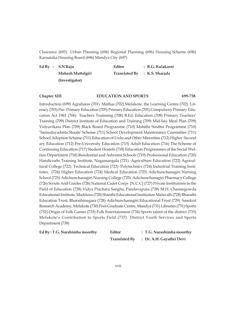Clearance (693) Urban Planning (694) Regional Planning (696) Housing Scheme (696) Karnataka Housing Board (696) Mandya City (697)

| Ed By : $S.N$ Raju | Editor | : R.G. Kulakarni             |
|--------------------|--------|------------------------------|
| Mahesh Muttalgiri  |        | Translated By : K.S. Sharada |
| (Investigator)     |        |                              |

### **Chapter XIII EDUCATION AND SPORTS 699-738**

Introduction (699) Agraharas (701) Mathas (702) Melukote, the Learning Centre (702) Literacy (703) Pre- Primary Education (705) Primary Education (705) Compulsory Primary Education Act 1961 (706) Teachers Trainning (708) B.Ed. Education (708) Primary Teachers' Training (709) District Institute of Education and Training (709) Mid-Say Meal Plan (709) Vidyavikasa Plan (709) Black Board Programme (710) Mahithi Sindhu Programme (710) 'Samudayadatta Shaale' Scheme (711) School Development Maintenance Committee (711) School Adoption Scheme (711) Education of Urdu and Other Minorities (712) Higher Second ary Education (712) Pre-University Education (715) Adult Education (716) The Scheme of Continuing Education (717) Student Hostels (718) Education Programmes of the Social Welfare Department (718) Residential and Ashrama Schools (719) Professional Education (720) Handicrafts Training Institute, Nagamangala (721) Agriculture Education (722) Agricultural College (722) Technical Education (723) Polytechnics (724) Industrial Training Institutes, (724) Higher Education (724) Medical Education (725) Adichunchanagiri Nursing School (725) Adichunchanagiri Nursing College (725) Adichunchanagiri Pharmacy College (726) Scouts And Guides (726) National Cadet Corps [N.C.C] (727) Private Institutions in the Field of Education (728) Vidya Prachara Sangha, Pandavapura (728) M.H. Channegowda Educational Institute, Madduru (728) Shanthi Educational Institution Malavalli (728) Bharathi Education Trust, Bharathinagara (728) Adichunchanagiri Educational Trust (729) Sanskrit Research Academy, Melukote (730) Post-Graduate Centre, Mandya (731) Libraries (731) Sports (732) Origin of Folk Games (733) Folk Entertainment (734) Sports talent of the district (735) Melukote's Contribution to Sports Field (737) District Youth Services and Sports Department (738)

| Ed By: T.G. Narshimha moorthy | Editor               | : T.G. Narashimha moorthy |
|-------------------------------|----------------------|---------------------------|
|                               | <b>Translated By</b> | : Dr. A.H. Gayathri Devi  |

xvii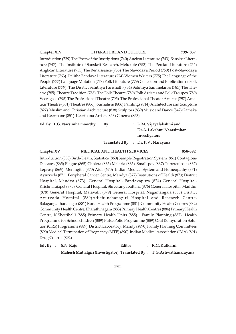#### **Chapter XIV LITERATURE AND CULTURE 739- 857**

Introduction (739) The Poets of the Inscriptions (740) Ancient Literature (743) Sanskrit Literature (747) The Institute of Sanskrit Research, Melukote (753) The Persian Literature (754) Anglican Literature (755) The Renaissance (756) The Navodaya Period (759) Post-Navodaya Literature (763) Dalitha Bandaya Literature (774) Women Writers (775) The Language of the People (777) Language Mutation (778) Folk Literature (779) Collection and Publication of Folk Literature (779) The Disrtict Sahithya Parishath (784) Sahithya Sammelanas (785) The Theatre (785) Theatre Tradition (788) The Folk Theatre (789) Folk Artistes and Folk Troupes (789) Veeragase (795) The Professional Theatre (795) The Professional Theater Artistes (797) Amateur Theatre (801) Theatres (806) Journalism (806) Paintings (814) Architecture and Sculpture (827) Muslim and Christian Architecture (838) Sculptors (839) Music and Dance (842) Gamaka and Keerthane (851) Keerthana Artists (853) Cinema (853)

| Ed. By: T.G. Narsimha moorthy. | Bv | : K.M. Vijayalakshmi and          |
|--------------------------------|----|-----------------------------------|
|                                |    | Dr.A. Lakshmi Narasimhan          |
|                                |    | Investigators                     |
|                                |    | Translated By : Dr. P.V. Narayana |
|                                |    |                                   |

#### **Chapter XV MEDICAL AND HEALTH SERVICES 858-892**

Introduction (858) Birth-Death, Statistics (860) Sample Registration System (861) Contagious Diseases (865) Plague (865) Cholera (865) Malaria (865) Small-pox (867) Tuberculosis (867) Leprosy (869) Meningitis (870) Aids (670) Indian Medical System and Homeopathy (871) Ayurveda (871) Peripheral Cancer Centre, Mandya (872) Institutions of Health (873) District Hospital, Mandya (873) General Hospital, Pandavapura (874) General Hospital, Krishnarajapet (875) General Hospital, Shreerangapattana (876) General Hospital, Maddur (878) General Hospital, Malavalli (879) General Hospital, Nagamangala (880) Disrtict Ayurvada Hospital (889)Adichunchanagiri Hospital and Research Centre, Balagangadharanagar (881) Rural Health Programme (881) Community Health Centres (882) Community Health Centre, Bharathinagara (883) Primary Health Centres (884) Primary Health Centre, K.Shettihalli (885) Primary Health Units (885) Family Planning (887) Health Programme for School children (889) Pulse Polio Programme (889) Oral Re-hydration Solution (ORS) Programme (889) District Laboratory, Mandya (890) Family Planning Committees (890) Medical Termination of Pregnancy (MTP) (890) Indian Medical Association (IMA) (891) Drug Control (892)

|  | Ed. By : S.N. Raju                                                   | Editor | : R.G. Kulkarni |  |
|--|----------------------------------------------------------------------|--------|-----------------|--|
|  | Mahesh Muttalgiri (Investigator) Translated By: T.G.Ashwathanarayana |        |                 |  |

xviii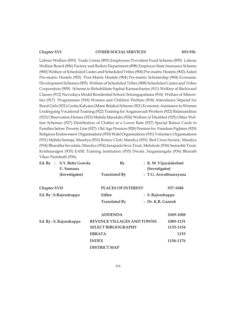#### **Chapter XVI OTHER SOCIAL SERVICES 893-936**

Labour Welfare (893) Trade Union (895) Employees Provident Fund Scheme (895) Labour Welfare Board (896) Factory and Boilers Department (898) Employes State Insurance Scheme (900) Welfare of Scheduled Castes and Scheduled Tribes (900) Pre-matric Hostels (902) Aided Pre-matric Hostels (903) Post-Matric Hostels (904) Pre-matric Scholarship (904) Economic Development Schemes (905) Welfare of Scheduled Tribes (908) Scheduled Castes and Tribes Corporation (909) Scheme to Rehabilitate Saphai Karmacharies (911) Welfare of Backward Classes (912) Navodaya Model Residential School, Srirangapattana (914) Welfare of Minorities (917) Programmes (918) Women and Children Welfare (918) Attendance Stipend for Rural Girls (921) Gruha Kalyana (Mane Belaku) Scheme (921) Economic Assistance to Women Undergoing Vocational Training (922) Training for Anganawadi Workers (922) Balamandiras (923) Observation Homes (923) Mahila Mandalis (924) Welfare of Disabled (925) Other Welfare Schemes (927) Distribution of Clothes at a Lower Rate (927) Special Ration Cards to Families below Poverty Line (927) Old Age Pension (928) Pension for Freedom Fighters (929) Religious Endowment Organisations (930) Wakf Organisations (931) Voluntary Organisations (931) Mahila Samaja, Mandya (933) Rotary Club, Mandya (933) Red Cross Society, Mandya (934) Bharatha Sevadala, Mandya (934) Janapada Seva Trust, Melukote (934) Samashti Trust, Krishnarajpet (935) EASE Training Institution (935) Dwani ,Nagamangala (936) Bharath Vikas Parishath (936)

| Ed. By :     | S.Y. Bette Gowda<br>U. Sumana | By                                | (Investigator)    | : K.M. Vijayalakshmi  |
|--------------|-------------------------------|-----------------------------------|-------------------|-----------------------|
|              | (Investigator)                | <b>Translated By</b>              |                   | : T.G. Aswathnarayana |
| Chapter XVII |                               | <b>PLACES OF INTEREST</b>         |                   | 937-1048              |
|              | Ed. By: S.Rajendrappa         | Editor                            | : S. Rajendrappa  |                       |
|              |                               | <b>Translated By</b>              | : Dr. K.R. Ganesh |                       |
|              |                               | <b>ADDENDA</b>                    |                   | 1049-1088             |
|              | Ed. By: S. Rajendrappa        | <b>REVENUE VILLAGES AND TOWNS</b> |                   | 1089-1131             |
|              |                               | <b>SELECT BIBLIOGRAPHY</b>        |                   | 1133-1154             |
|              |                               | <b>ERRATA</b>                     |                   | 1155                  |
|              |                               | <b>INDEX</b>                      |                   | 1156-1176             |
|              |                               | <b>DISTRICT MAP</b>               |                   |                       |

xix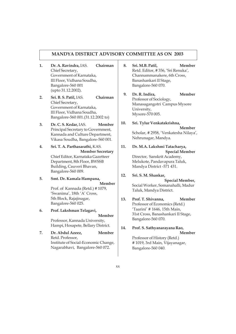#### **MANDYA DISTRICT ADVISORY COMMITTEE AS ON 2003**

- **1. Dr. A. Ravindra,** IAS. **Chairman** Chief Secretary, Government of Karnataka, III Floor, Vidhana Soudha, Bangalore-560 001 (upto 31.12.2002).
- **2. Sri. B. S. Patil,** IAS. **Chairman** Chief Secretary, Government of Karnataka, III Floor, Vidhana Soudha, Bangalore-560 001.(31.12.2002 to)
- **3. Dr. C. S. Kedar,** IAS. **Member** Principal Secretary to Government, Kannada and Culture Department, Vikasa Soudha, Bangalore-560 001.
- **4. Sri. T. A. Parthasarathi,** KAS. **Member Secretary** Chief Editor, Karnataka Gazetteer Department, 8th Floor, BWSSB Building, Cauveri Bhavan, Bangalore-560 009.
- **5. Smt. Dr. Kamala Hampana, Member** Prof. of Kannada (Retd.) # 1079, 'Swanima', 18th 'A' Cross, 5th Block, Rajajinagar,
- Bangalore-560 025. **6. Prof. Lakshman Telagavi, Member** Professor, Kannada University, Hampi, Hosapete, Bellary District.
- **7. Dr. Abdul Azeez, Member** Retd. Professor, Institute of Social-Economic Change, Nagarabhavi, Bangalore-560 072.
- **8. Sri. M.B. Patil, Member** Retd. Editor, # 356, 'Sri Renuka', Channammanakere, 6th Cross, Banashankari II Stage, Bangalore-560 070.
- **9. Dr. R. Indira, Member** Professor of Sociology, Manasagangotri Campus Mysore University, Mysore-570 005.
- **10. Sri. Tylur Venkatakrishna, Member** Scholar, # 2958, 'Venkatesha Nilaya', Nehrunagar, Mandya.
- **11. Dr. M.A. Lakshmi Tatacharya, Special Member** Director, Sanskrit Academy, Melukote, Pandavapura Taluk, Mandya District -571 431.

#### **12. Sri. S. M. Shankar,**

**Special Member,** Social Worker, Somanahalli, Madur Taluk, Mandya District.

- **13. Prof. T. Shivanna, Member** Professor of Economics (Retd.) 'Taarini' # 1646, 15th Main, 31st Cross, Banashankari II Stage, Bangalore-560 070.
- **14. Prof. S. Sathyanarayana Rao, Member** Professor of History (Retd.)

# 1019, 3rd Main, Vijayanagar, Bangalore-560 040.

xx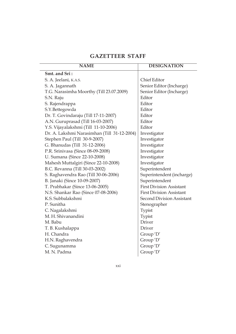# **GAZETTEER STAFF**

| <b>NAME</b>                                 | <b>DESIGNATION</b>               |
|---------------------------------------------|----------------------------------|
| Smt. and Sri:                               |                                  |
| S. A. Jeelani, K.A.S.                       | <b>Chief Editor</b>              |
| S. A. Jagannath                             | Senior Editor (Incharge)         |
| T.G. Narasimha Moorthy (Till 23.07.2009)    | Senior Editor (Incharge)         |
| S.N. Raju                                   | Editor                           |
| S. Rajendrappa                              | Editor                           |
| S.Y.Bettegowda                              | Editor                           |
| Dr. T. Govindaraju (Till 17-11-2007)        | Editor                           |
| A.N. Guruprasad (Till 16-03-2007)           | Editor                           |
| Y.S. Vijayalakshmi (Till 11-10-2006)        | Editor                           |
| Dr. A. Lakshmi Narasimhan (Till 31-12-2004) | Investigator                     |
| Stephen Paul (Till 30-9-2007)               | Investigator                     |
| G. Bhanudas (Till 31-12-2006)               | Investigator                     |
| P.R. Srinivasa (Since 08-09-2008)           | Investigator                     |
| U. Sumana (Since 22-10-2008)                | Investigator                     |
| Mahesh Muttalgiri (Since 22-10-2008)        | Investigator                     |
| B.C. Revanna (Till 30-03-2002)              | Superintendent                   |
| S. Raghavendra Rao (Till 30-06-2006)        | Superintendent (incharge)        |
| B. Janaki (Since 10-09-2007)                | Superintendent                   |
| T. Prabhakar (Since 13-06-2005)             | <b>First Division Assistant</b>  |
| N.S. Shankar Rao (Since 07-08-2006)         | <b>First Division Assistant</b>  |
| K.S. Subbalakshmi                           | <b>Second Division Assistant</b> |
| P. Sunitha                                  | Stenographer                     |
| C. Nagalakshmi                              | Typist                           |
| M. H. Shivanandini                          | Typist                           |
| M. Babu                                     | Driver                           |
| T. B. Kushalappa                            | Driver                           |
| H. Chandra                                  | Group 'D'                        |
| H.N. Raghavendra                            | Group 'D'                        |
| C. Sugunamma                                | Group 'D'                        |
| M. N. Padma                                 | Group 'D'                        |

xxi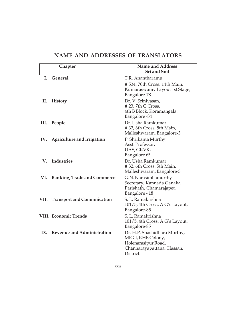|     | Chapter                            | <b>Name and Address</b><br><b>Sri and Smt</b>                                                                        |
|-----|------------------------------------|----------------------------------------------------------------------------------------------------------------------|
| L   | <b>General</b>                     | T.R. Anantharamu                                                                                                     |
|     |                                    | #534, 70th Cross, 14th Main,<br>Kumaraswamy Layout 1st Stage,<br>Bangalore-78.                                       |
| П.  | <b>History</b>                     | Dr. V. Srinivasan,<br>#23,7th C Cross,<br>4th B Block, Koramangala,<br>Bangalore -34                                 |
| Ш.  | People                             | Dr. Usha Ramkumar<br>#32, 6th Cross, 5th Main,<br>Malleshwaram, Bangalore-3                                          |
|     | IV. Agriculture and Irrigation     | P. Shrikanta Murthy,<br>Asst. Professor,<br>UAS, GKVK,<br>Bangalore 65                                               |
| V.  | Industries                         | Dr. Usha Ramkumar<br>#32, 6th Cross, 5th Main,<br>Malleshwaram, Bangalore-3                                          |
| VI. | <b>Banking, Trade and Commerce</b> | G.N. Narasimhamurthy<br>Secretary, Kannada Ganaka<br>Parishath, Chamarajapet,<br>Bangalore - 18                      |
|     | VII. Transport and Commnication    | S. L. Ramakrishna<br>$101/5$ , 4th Cross, A.G's Layout,<br>Bangalore-85                                              |
|     | <b>VIII. Economic Trends</b>       | S. L. Ramakrishna<br>101/5, 4th Cross, A.G's Layout,<br>Bangalore-85                                                 |
|     | IX. Revenue and Administration     | Dr. H.P. Shashidhara Murthy,<br>MIG-I, KHB Colony,<br>Holenarasipur Road,<br>Channarayapattana, Hassan,<br>District. |

## **NAME AND ADDRESSES OF TRANSLATORS**

xxii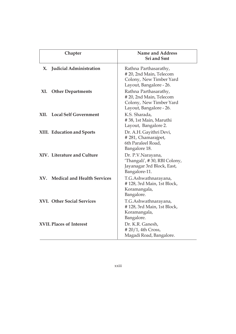|                                 | Chapter                                                    | <b>Name and Address</b><br><b>Sri and Smt</b>                                                                                                             |
|---------------------------------|------------------------------------------------------------|-----------------------------------------------------------------------------------------------------------------------------------------------------------|
| X.<br>XI.                       | <b>Judicial Administration</b><br><b>Other Departments</b> | Rathna Parthasarathy,<br># 20, 2nd Main, Telecom<br>Colony, New Timber Yard<br>Layout, Bangalore - 26.<br>Rathna Parthasarathy,<br>#20, 2nd Main, Telecom |
|                                 |                                                            | Colony, New Timber Yard<br>Layout, Bangalore - 26.                                                                                                        |
| XII.                            | <b>Local Self Government</b>                               | K.S. Sharada,<br>#38, 1st Main, Maruthi<br>Layout, Bangalore 2.                                                                                           |
|                                 | XIII. Education and Sports                                 | Dr. A.H. Gayithri Devi,<br>#281, Chamarajpet,<br>6th Paraleel Road,<br>Bangalore 18.                                                                      |
|                                 | XIV. Literature and Culture                                | Dr. P.V.Narayana,<br>'Thangali', #30, RBI Colony,<br>Jayanagar 3rd Block, East,<br>Bangalore-11.                                                          |
|                                 | XV. Medical and Health Services                            | T.G.Ashwathnarayana,<br>#128, 3rd Main, 1st Block,<br>Koramangala,<br>Bangalore.                                                                          |
|                                 | XVI. Other Social Services                                 | T.G.Ashwathnarayana,<br>#128, 3rd Main, 1st Block,<br>Koramangala,<br>Bangalore.                                                                          |
| <b>XVII. Places of Interest</b> |                                                            | Dr. K.R. Ganesh,<br>#20/1, 4th Cross,<br>Magadi Road, Bangalore.                                                                                          |

xxiii